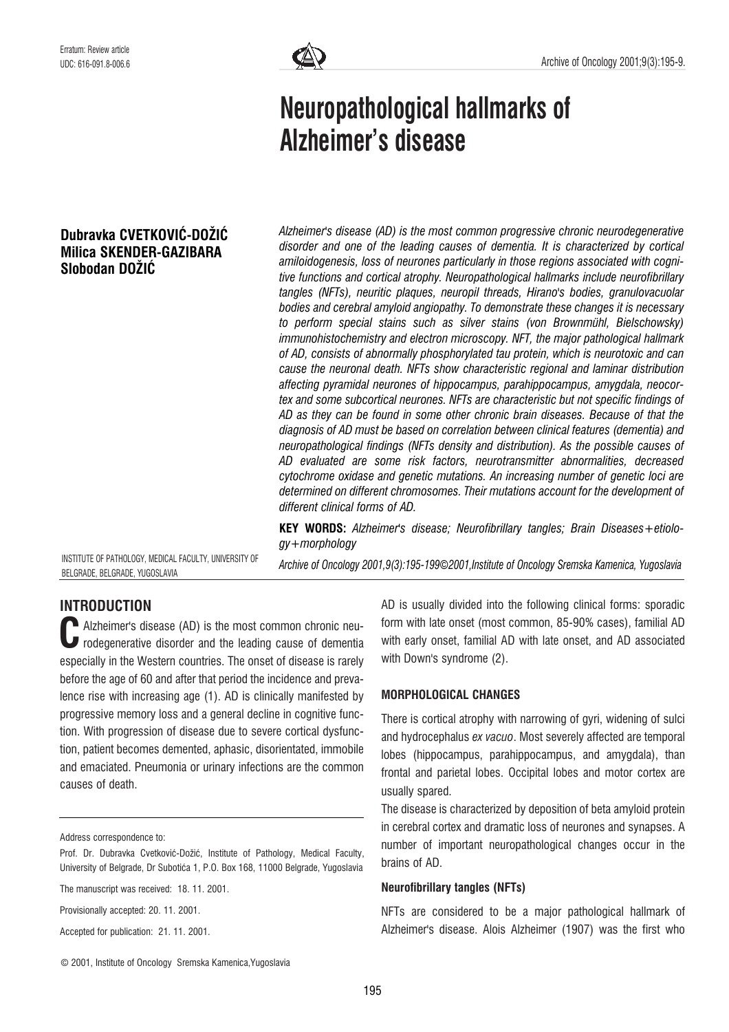# Neuropathological hallmarks of Alzheimer's disease

# Dubravka CVETKOVIĆ-DOŽIĆ Milica SKENDER-GAZIBARA Slobodan DOŽIĆ

Alzheimer's disease (AD) is the most common progressive chronic neurodegenerative disorder and one of the leading causes of dementia. It is characterized by cortical amiloidogenesis, loss of neurones particularly in those regions associated with cognitive functions and cortical atrophy. Neuropathological hallmarks include neurofibrillary tangles (NFTs), neuritic plaques, neuropil threads, Hirano's bodies, granulovacuolar bodies and cerebral amyloid angiopathy. To demonstrate these changes it is necessary to perform special stains such as silver stains (von Brownmühl, Bielschowsky) immunohistochemistry and electron microscopy. NFT, the major pathological hallmark of AD, consists of abnormally phosphorylated tau protein, which is neurotoxic and can cause the neuronal death. NFTs show characteristic regional and laminar distribution affecting pyramidal neurones of hippocampus, parahippocampus, amygdala, neocortex and some subcortical neurones. NFTs are characteristic but not specific findings of AD as they can be found in some other chronic brain diseases. Because of that the diagnosis of AD must be based on correlation between clinical features (dementia) and neuropathological findings (NFTs density and distribution). As the possible causes of AD evaluated are some risk factors, neurotransmitter abnormalities, decreased cytochrome oxidase and genetic mutations. An increasing number of genetic loci are determined on different chromosomes. Their mutations account for the development of different clinical forms of AD.

KEY WORDS: Alzheimer's disease; Neurofibrillary tangles; Brain Diseases+etiology+morphology

INSTITUTE OF PATHOLOGY, MEDICAL FACULTY, UNIVERSITY OF BELGRADE, BELGRADE, YUGOSLAVIA

Archive of Oncology 2001,9(3):195-199*©*2001,Institute of Oncology Sremska Kamenica, Yugoslavia

# INTRODUCTION

Alzheimer's disease (AD) is the most common chronic neu-Alzheimer's disease (AD) is the most common chronic neu-<br>rodegenerative disorder and the leading cause of dementia especially in the Western countries. The onset of disease is rarely before the age of 60 and after that period the incidence and prevalence rise with increasing age (1). AD is clinically manifested by progressive memory loss and a general decline in cognitive function. With progression of disease due to severe cortical dysfunction, patient becomes demented, aphasic, disorientated, immobile and emaciated. Pneumonia or urinary infections are the common causes of death.

Address correspondence to:

Provisionally accepted: 20. 11. 2001.

Accepted for publication: 21. 11. 2001.

AD is usually divided into the following clinical forms: sporadic form with late onset (most common, 85-90% cases), familial AD with early onset, familial AD with late onset, and AD associated with Down's syndrome (2).

#### MORPHOLOGICAL CHANGES

There is cortical atrophy with narrowing of gyri, widening of sulci and hydrocephalus ex vacuo. Most severely affected are temporal lobes (hippocampus, parahippocampus, and amygdala), than frontal and parietal lobes. Occipital lobes and motor cortex are usually spared.

The disease is characterized by deposition of beta amyloid protein in cerebral cortex and dramatic loss of neurones and synapses. A number of important neuropathological changes occur in the brains of AD.

#### Neurofibrillary tangles (NFTs)

NFTs are considered to be a major pathological hallmark of Alzheimer's disease. Alois Alzheimer (1907) was the first who

Prof. Dr. Dubravka Cvetković-Dožić, Institute of Pathology, Medical Faculty, University of Belgrade, Dr Subotića 1, P.O. Box 168, 11000 Belgrade, Yugoslavia

The manuscript was received: 18. 11. 2001.

<sup>©</sup> 2001, Institute of Oncology Sremska Kamenica,Yugoslavia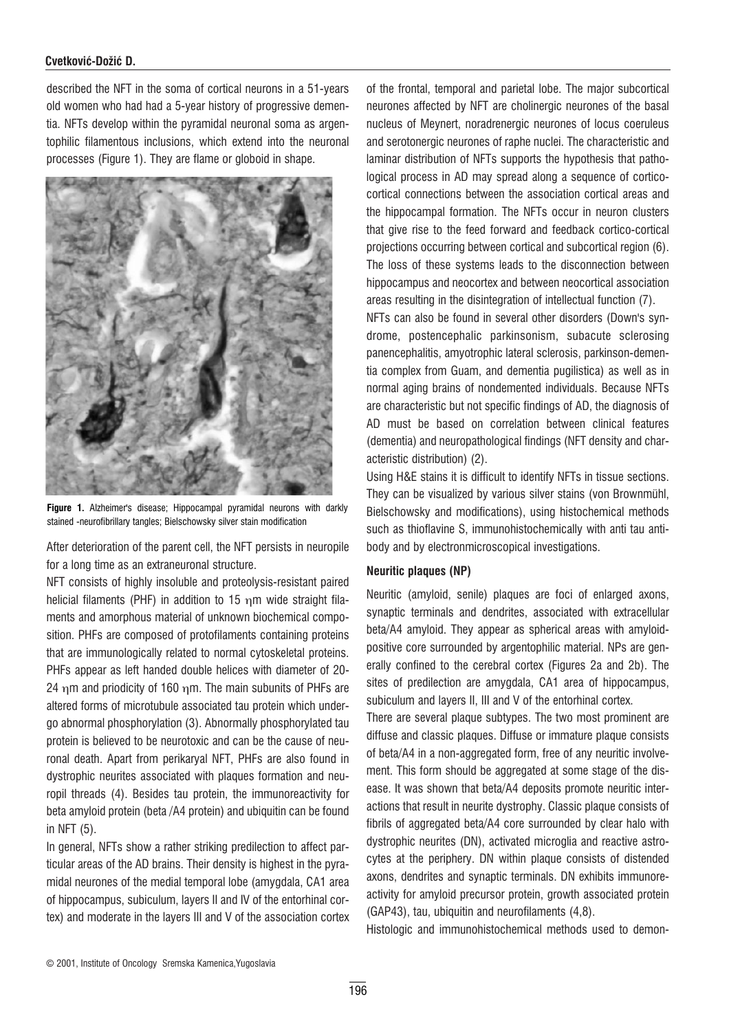#### Cvetković-Dožić D.

described the NFT in the soma of cortical neurons in a 51-years old women who had had a 5-year history of progressive dementia. NFTs develop within the pyramidal neuronal soma as argentophilic filamentous inclusions, which extend into the neuronal processes (Figure 1). They are flame or globoid in shape.



Figure 1. Alzheimer's disease; Hippocampal pyramidal neurons with darkly stained -neurofibrillary tangles; Bielschowsky silver stain modification

After deterioration of the parent cell, the NFT persists in neuropile for a long time as an extraneuronal structure.

NFT consists of highly insoluble and proteolysis-resistant paired helicial filaments (PHF) in addition to 15  $n$ m wide straight filaments and amorphous material of unknown biochemical composition. PHFs are composed of protofilaments containing proteins that are immunologically related to normal cytoskeletal proteins. PHFs appear as left handed double helices with diameter of 20- 24  $\eta$ m and priodicity of 160  $\eta$ m. The main subunits of PHFs are altered forms of microtubule associated tau protein which undergo abnormal phosphorylation (3). Abnormally phosphorylated tau protein is believed to be neurotoxic and can be the cause of neuronal death. Apart from perikaryal NFT, PHFs are also found in dystrophic neurites associated with plaques formation and neuropil threads (4). Besides tau protein, the immunoreactivity for beta amyloid protein (beta /A4 protein) and ubiquitin can be found in NFT (5).

In general, NFTs show a rather striking predilection to affect particular areas of the AD brains. Their density is highest in the pyramidal neurones of the medial temporal lobe (amygdala, CA1 area of hippocampus, subiculum, layers II and IV of the entorhinal cortex) and moderate in the layers III and V of the association cortex

of the frontal, temporal and parietal lobe. The major subcortical neurones affected by NFT are cholinergic neurones of the basal nucleus of Meynert, noradrenergic neurones of locus coeruleus and serotonergic neurones of raphe nuclei. The characteristic and laminar distribution of NFTs supports the hypothesis that pathological process in AD may spread along a sequence of corticocortical connections between the association cortical areas and the hippocampal formation. The NFTs occur in neuron clusters that give rise to the feed forward and feedback cortico-cortical projections occurring between cortical and subcortical region (6). The loss of these systems leads to the disconnection between hippocampus and neocortex and between neocortical association areas resulting in the disintegration of intellectual function (7).

NFTs can also be found in several other disorders (Down's syndrome, postencephalic parkinsonism, subacute sclerosing panencephalitis, amyotrophic lateral sclerosis, parkinson-dementia complex from Guam, and dementia pugilistica) as well as in normal aging brains of nondemented individuals. Because NFTs are characteristic but not specific findings of AD, the diagnosis of AD must be based on correlation between clinical features (dementia) and neuropathological findings (NFT density and characteristic distribution) (2).

Using H&E stains it is difficult to identify NFTs in tissue sections. They can be visualized by various silver stains (von Brownmühl, Bielschowsky and modifications), using histochemical methods such as thioflavine S, immunohistochemically with anti tau antibody and by electronmicroscopical investigations.

#### Neuritic plaques (NP)

Neuritic (amyloid, senile) plaques are foci of enlarged axons, synaptic terminals and dendrites, associated with extracellular beta/A4 amyloid. They appear as spherical areas with amyloidpositive core surrounded by argentophilic material. NPs are generally confined to the cerebral cortex (Figures 2a and 2b). The sites of predilection are amygdala, CA1 area of hippocampus, subiculum and layers II, III and V of the entorhinal cortex.

There are several plaque subtypes. The two most prominent are diffuse and classic plaques. Diffuse or immature plaque consists of beta/A4 in a non-aggregated form, free of any neuritic involvement. This form should be aggregated at some stage of the disease. It was shown that beta/A4 deposits promote neuritic interactions that result in neurite dystrophy. Classic plaque consists of fibrils of aggregated beta/A4 core surrounded by clear halo with dystrophic neurites (DN), activated microglia and reactive astrocytes at the periphery. DN within plaque consists of distended axons, dendrites and synaptic terminals. DN exhibits immunoreactivity for amyloid precursor protein, growth associated protein (GAP43), tau, ubiquitin and neurofilaments (4,8).

Histologic and immunohistochemical methods used to demon-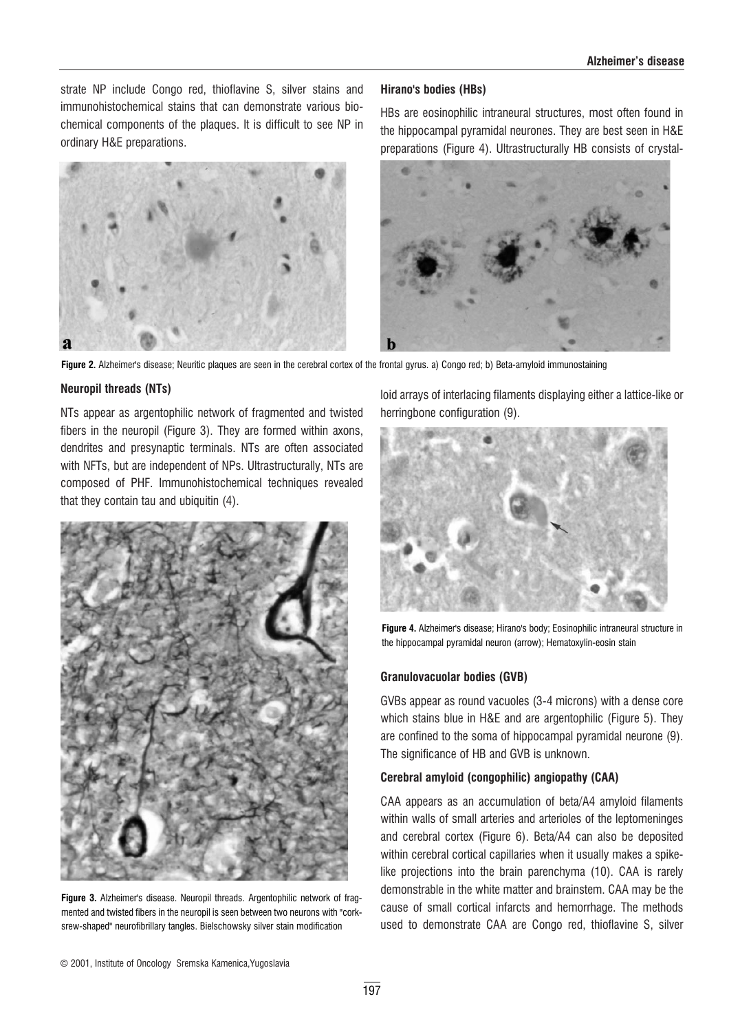strate NP include Congo red, thioflavine S, silver stains and immunohistochemical stains that can demonstrate various biochemical components of the plaques. It is difficult to see NP in ordinary H&E preparations.



#### Hirano's bodies (HBs)

HBs are eosinophilic intraneural structures, most often found in the hippocampal pyramidal neurones. They are best seen in H&E preparations (Figure 4). Ultrastructurally HB consists of crystal-



Figure 2. Alzheimer's disease; Neuritic plaques are seen in the cerebral cortex of the frontal gyrus. a) Congo red; b) Beta-amyloid immunostaining

#### Neuropil threads (NTs)

NTs appear as argentophilic network of fragmented and twisted fibers in the neuropil (Figure 3). They are formed within axons, dendrites and presynaptic terminals. NTs are often associated with NFTs, but are independent of NPs. Ultrastructurally, NTs are composed of PHF. Immunohistochemical techniques revealed that they contain tau and ubiquitin (4).



Figure 3. Alzheimer's disease. Neuropil threads. Argentophilic network of fragmented and twisted fibers in the neuropil is seen between two neurons with "corksrew-shaped" neurofibrillary tangles. Bielschowsky silver stain modification

loid arrays of interlacing filaments displaying either a lattice-like or herringbone configuration (9).



Figure 4. Alzheimer's disease; Hirano's body; Eosinophilic intraneural structure in the hippocampal pyramidal neuron (arrow); Hematoxylin-eosin stain

#### Granulovacuolar bodies (GVB)

GVBs appear as round vacuoles (3-4 microns) with a dense core which stains blue in H&E and are argentophilic (Figure 5). They are confined to the soma of hippocampal pyramidal neurone (9). The significance of HB and GVB is unknown.

#### Cerebral amyloid (congophilic) angiopathy (CAA)

CAA appears as an accumulation of beta/A4 amyloid filaments within walls of small arteries and arterioles of the leptomeninges and cerebral cortex (Figure 6). Beta/A4 can also be deposited within cerebral cortical capillaries when it usually makes a spikelike projections into the brain parenchyma (10). CAA is rarely demonstrable in the white matter and brainstem. CAA may be the cause of small cortical infarcts and hemorrhage. The methods used to demonstrate CAA are Congo red, thioflavine S, silver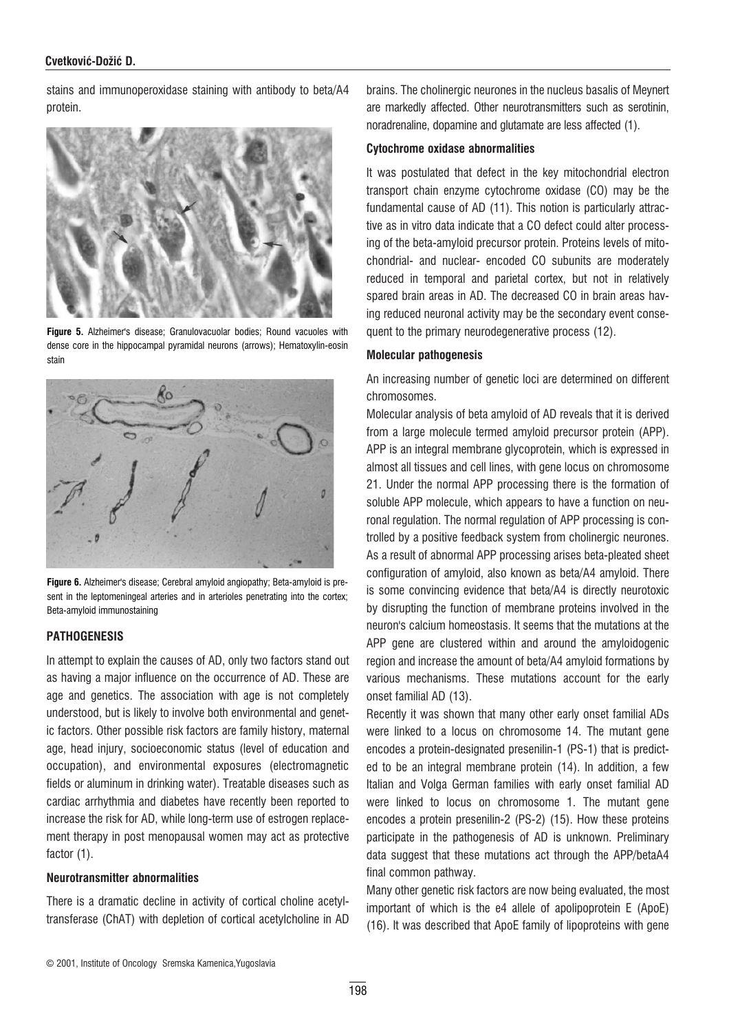#### Cvetković-Dožić D.

stains and immunoperoxidase staining with antibody to beta/A4 protein.



Figure 5. Alzheimer's disease; Granulovacuolar bodies; Round vacuoles with dense core in the hippocampal pyramidal neurons (arrows); Hematoxylin-eosin stain



Figure 6. Alzheimer's disease; Cerebral amyloid angiopathy; Beta-amyloid is present in the leptomeningeal arteries and in arterioles penetrating into the cortex; Beta-amyloid immunostaining

#### **PATHOGENESIS**

In attempt to explain the causes of AD, only two factors stand out as having a major influence on the occurrence of AD. These are age and genetics. The association with age is not completely understood, but is likely to involve both environmental and genetic factors. Other possible risk factors are family history, maternal age, head injury, socioeconomic status (level of education and occupation), and environmental exposures (electromagnetic fields or aluminum in drinking water). Treatable diseases such as cardiac arrhythmia and diabetes have recently been reported to increase the risk for AD, while long-term use of estrogen replacement therapy in post menopausal women may act as protective factor  $(1)$ .

#### Neurotransmitter abnormalities

There is a dramatic decline in activity of cortical choline acetyltransferase (ChAT) with depletion of cortical acetylcholine in AD brains. The cholinergic neurones in the nucleus basalis of Meynert are markedly affected. Other neurotransmitters such as serotinin, noradrenaline, dopamine and glutamate are less affected (1).

#### Cytochrome oxidase abnormalities

It was postulated that defect in the key mitochondrial electron transport chain enzyme cytochrome oxidase (CO) may be the fundamental cause of AD (11). This notion is particularly attractive as in vitro data indicate that a CO defect could alter processing of the beta-amyloid precursor protein. Proteins levels of mitochondrial- and nuclear- encoded CO subunits are moderately reduced in temporal and parietal cortex, but not in relatively spared brain areas in AD. The decreased CO in brain areas having reduced neuronal activity may be the secondary event consequent to the primary neurodegenerative process (12).

#### Molecular pathogenesis

An increasing number of genetic loci are determined on different chromosomes.

Molecular analysis of beta amyloid of AD reveals that it is derived from a large molecule termed amyloid precursor protein (APP). APP is an integral membrane glycoprotein, which is expressed in almost all tissues and cell lines, with gene locus on chromosome 21. Under the normal APP processing there is the formation of soluble APP molecule, which appears to have a function on neuronal regulation. The normal regulation of APP processing is controlled by a positive feedback system from cholinergic neurones. As a result of abnormal APP processing arises beta-pleated sheet configuration of amyloid, also known as beta/A4 amyloid. There is some convincing evidence that beta/A4 is directly neurotoxic by disrupting the function of membrane proteins involved in the neuron's calcium homeostasis. It seems that the mutations at the APP gene are clustered within and around the amyloidogenic region and increase the amount of beta/A4 amyloid formations by various mechanisms. These mutations account for the early onset familial AD (13).

Recently it was shown that many other early onset familial ADs were linked to a locus on chromosome 14. The mutant gene encodes a protein-designated presenilin-1 (PS-1) that is predicted to be an integral membrane protein (14). In addition, a few Italian and Volga German families with early onset familial AD were linked to locus on chromosome 1. The mutant gene encodes a protein presenilin-2 (PS-2) (15). How these proteins participate in the pathogenesis of AD is unknown. Preliminary data suggest that these mutations act through the APP/betaA4 final common pathway.

Many other genetic risk factors are now being evaluated, the most important of which is the e4 allele of apolipoprotein E (ApoE) (16). It was described that ApoE family of lipoproteins with gene